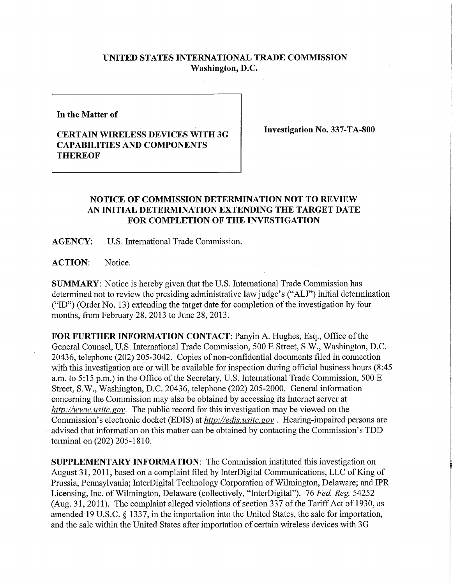## **UNITED STATES INTERNATIONAL TRADE COMMISSION Washington, D.C.**

**In the Matter of** 

## **CERTAIN WIRELESS DEVICES WITH 3G CAPABILITIES AND COMPONENTS THEREOF**

**Investigation No. 337-TA-800** 

## **NOTICE OF COMMISSION DETERMINATION NOT TO REVIEW AN INITIAL DETERMINATION EXTENDING THE TARGET DATE FOR COMPLETION OF THE INVESTIGATION**

**AGENCY:** U.S. International Trade Commission.

ACTION: Notice.

**SUMMARY:** Notice is hereby given that the U.S. International Trade Commission has determined not to review the presiding administrative law judge's ("ALJ") initial determination ("ID") (Order No. 13) extending the target date for completion of the investigation by four months, from February 28, 2013 to June 28, 2013.

FOR FURTHER INFORMATION CONTACT: Panyin A. Hughes, Esq., Office of the General Counsel, U.S. International Trade Commission, 500 E Street, S.W., Washington, D.C. 20436, telephone (202) 205-3042. Copies of non-confidential documents filed in connection with this investigation are or will be available for inspection during official business hours (8:45) a.m. to 5:15 p.m.) in the Office of the Secretary, U.S. International Trade Commission, 500 E Street, S.W., Washington, D.C. 20436, telephone (202) 205-2000. General information concerning the Commission may also be obtained by accessing its Internet server at *http://www, usitc. gov.* The public record for this investigation may be viewed on the Commission's electronic docket (EDIS) at *http://edis. usitc.gov .* Hearing-impaired persons are advised that information on this matter can be obtained by contacting the Commission's TDD terminal on (202) 205-1810.

**SUPPLEMENTARY INFORMATION:** The Commission instituted this investigation on August 31,2011, based on a complaint filed by InterDigital Communications, LLC of King of Prussia, Pennsylvania; InterDigital Technology Corporation of Wilmington, Delaware; and IPR Licensing, Inc. of Wilmington, Delaware (collectively, "InterDigital"). 76 *Fed. Reg.* 54252 (Aug. 31, 2011). The complaint alleged violations of section 337 of the Tariff Act of 1930, as amended 19 U.S.C. § 1337, in the importation into the United States, the sale for importation, and the sale within the United States after importation of certain wireless devices with 3G